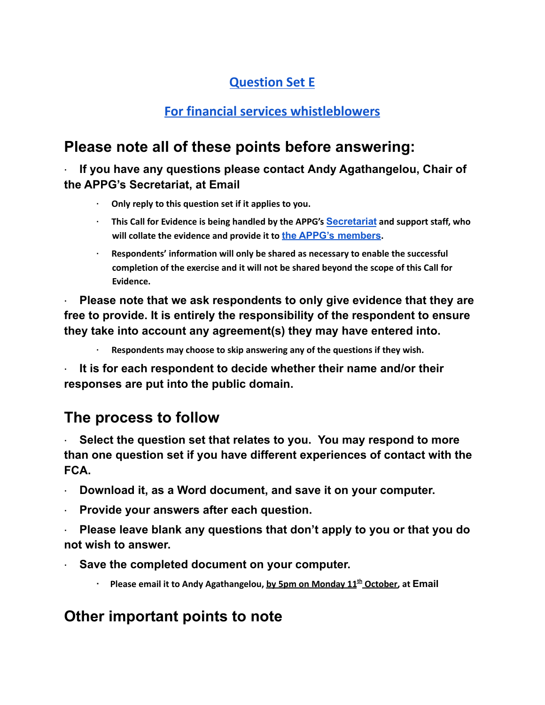## **Question Set E**

## **For financial services whistleblowers**

# **Please note all of these points before answering:**

**· If you have any questions please contact Andy Agathangelou, Chair of the APPG's Secretariat, at Email**

- **· Only reply to this question set if it applies to you.**
- **· This Call for Evidence is being handled by the APPG's [Secretariat](https://appgonpersonalbankingandfairerfinancialservices.org/about-us/secretariat) and support staff, who will collate the evidence and provide it to the APPG's [members](https://appgonpersonalbankingandfairerfinancialservices.org/about-us/members).**
- **· Respondents' information will only be shared as necessary to enable the successful completion of the exercise and it will not be shared beyond the scope of this Call for Evidence.**

**· Please note that we ask respondents to only give evidence that they are free to provide. It is entirely the responsibility of the respondent to ensure they take into account any agreement(s) they may have entered into.**

**· Respondents may choose to skip answering any of the questions if they wish.**

**· It is for each respondent to decide whether their name and/or their responses are put into the public domain.**

# **The process to follow**

**· Select the question set that relates to you. You may respond to more than one question set if you have different experiences of contact with the FCA.**

- **· Download it, as a Word document, and save it on your computer.**
- **· Provide your answers after each question.**
- **· Please leave blank any questions that don't apply to you or that you do not wish to answer.**
- **· Save the completed document on your computer.**
	- **· Please email it to Andy Agathangelou, by 5pm on Monday 11 th October, at Email**

## **Other important points to note**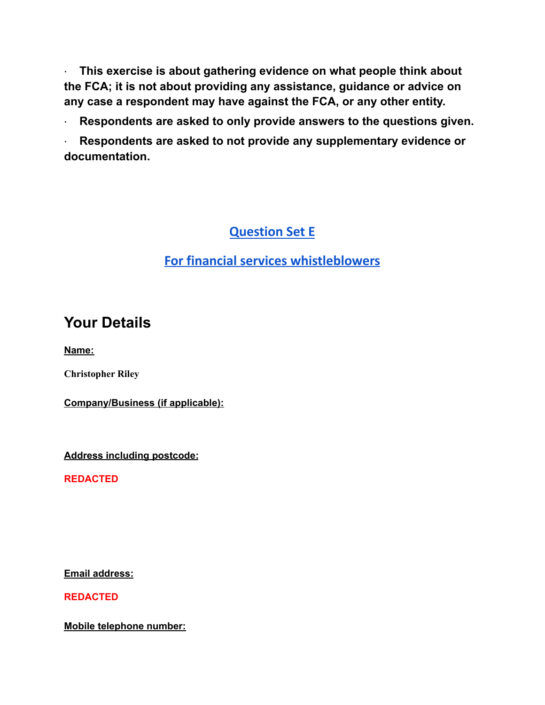**· This exercise is about gathering evidence on what people think about the FCA; it is not about providing any assistance, guidance or advice on any case a respondent may have against the FCA, or any other entity.**

**· Respondents are asked to only provide answers to the questions given.**

**· Respondents are asked to not provide any supplementary evidence or documentation.**

## **Question Set E**

### **For financial services whistleblowers**

## **Your Details**

**Name:**

**Christopher Riley**

**Company/Business (if applicable):**

**Address including postcode:**

**REDACTED**

**Email address:**

**REDACTED**

**Mobile telephone number:**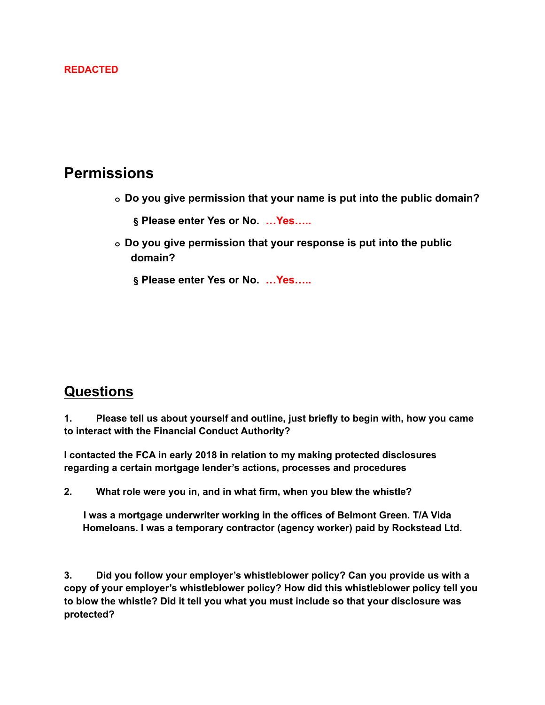#### **REDACTED**

### **Permissions**

- **o Do you give permission that your name is put into the public domain?**
	- **§ Please enter Yes or No. …Yes…..**
- **o Do you give permission that your response is put into the public domain?**
	- **§ Please enter Yes or No. …Yes…..**

### **Questions**

**1. Please tell us about yourself and outline, just briefly to begin with, how you came to interact with the Financial Conduct Authority?**

**I contacted the FCA in early 2018 in relation to my making protected disclosures regarding a certain mortgage lender's actions, processes and procedures**

**2. What role were you in, and in what firm, when you blew the whistle?**

**I was a mortgage underwriter working in the offices of Belmont Green. T/A Vida Homeloans. I was a temporary contractor (agency worker) paid by Rockstead Ltd.**

**3. Did you follow your employer's whistleblower policy? Can you provide us with a copy of your employer's whistleblower policy? How did this whistleblower policy tell you to blow the whistle? Did it tell you what you must include so that your disclosure was protected?**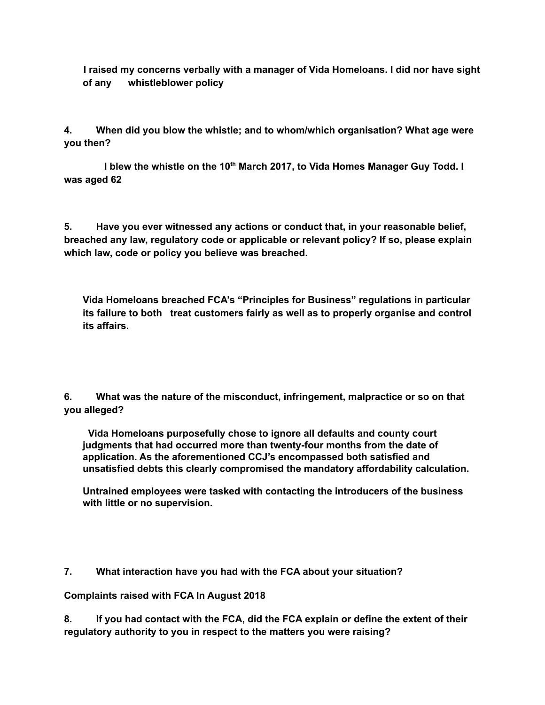**I raised my concerns verbally with a manager of Vida Homeloans. I did nor have sight of any whistleblower policy**

**4. When did you blow the whistle; and to whom/which organisation? What age were you then?**

**I blew the whistle on the 10 th March 2017, to Vida Homes Manager Guy Todd. I was aged 62**

**5. Have you ever witnessed any actions or conduct that, in your reasonable belief, breached any law, regulatory code or applicable or relevant policy? If so, please explain which law, code or policy you believe was breached.**

**Vida Homeloans breached FCA's "Principles for Business" regulations in particular its failure to both treat customers fairly as well as to properly organise and control its affairs.**

**6. What was the nature of the misconduct, infringement, malpractice or so on that you alleged?**

**Vida Homeloans purposefully chose to ignore all defaults and county court judgments that had occurred more than twenty-four months from the date of application. As the aforementioned CCJ's encompassed both satisfied and unsatisfied debts this clearly compromised the mandatory affordability calculation.**

**Untrained employees were tasked with contacting the introducers of the business with little or no supervision.**

#### **7. What interaction have you had with the FCA about your situation?**

#### **Complaints raised with FCA In August 2018**

**8. If you had contact with the FCA, did the FCA explain or define the extent of their regulatory authority to you in respect to the matters you were raising?**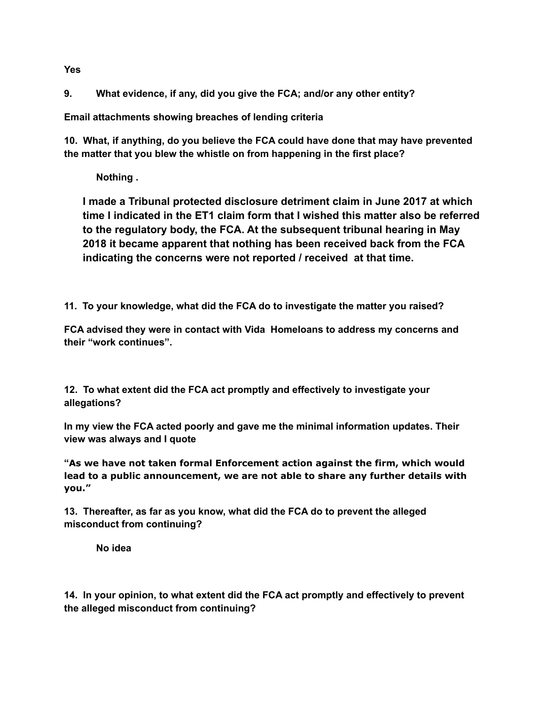**9. What evidence, if any, did you give the FCA; and/or any other entity?**

**Email attachments showing breaches of lending criteria**

**10. What, if anything, do you believe the FCA could have done that may have prevented the matter that you blew the whistle on from happening in the first place?**

**Nothing .**

**I made a Tribunal protected disclosure detriment claim in June 2017 at which time I indicated in the ET1 claim form that I wished this matter also be referred to the regulatory body, the FCA. At the subsequent tribunal hearing in May 2018 it became apparent that nothing has been received back from the FCA indicating the concerns were not reported / received at that time.**

**11. To your knowledge, what did the FCA do to investigate the matter you raised?**

**FCA advised they were in contact with Vida Homeloans to address my concerns and their "work continues".**

**12. To what extent did the FCA act promptly and effectively to investigate your allegations?**

**In my view the FCA acted poorly and gave me the minimal information updates. Their view was always and I quote**

**"As we have not taken formal Enforcement action against the firm, which would lead to a public announcement, we are not able to share any further details with you."**

**13. Thereafter, as far as you know, what did the FCA do to prevent the alleged misconduct from continuing?**

**No idea**

**14. In your opinion, to what extent did the FCA act promptly and effectively to prevent the alleged misconduct from continuing?**

**Yes**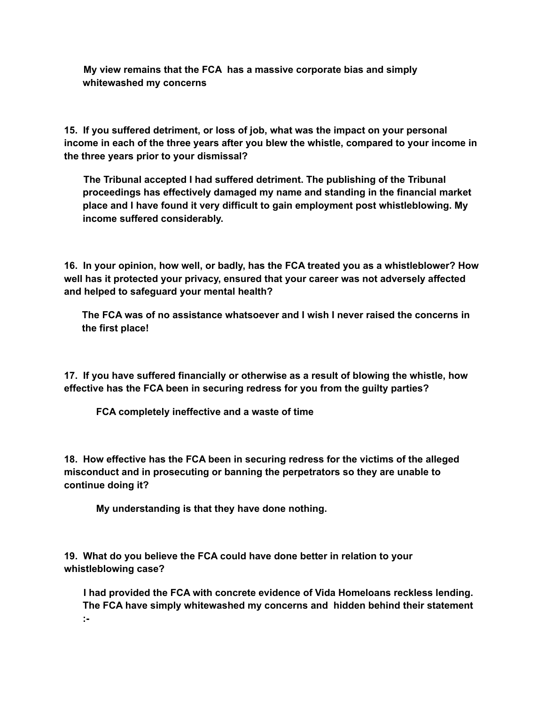**My view remains that the FCA has a massive corporate bias and simply whitewashed my concerns**

**15. If you suffered detriment, or loss of job, what was the impact on your personal income in each of the three years after you blew the whistle, compared to your income in the three years prior to your dismissal?**

**The Tribunal accepted I had suffered detriment. The publishing of the Tribunal proceedings has effectively damaged my name and standing in the financial market place and I have found it very difficult to gain employment post whistleblowing. My income suffered considerably.**

**16. In your opinion, how well, or badly, has the FCA treated you as a whistleblower? How well has it protected your privacy, ensured that your career was not adversely affected and helped to safeguard your mental health?**

**The FCA was of no assistance whatsoever and I wish I never raised the concerns in the first place!**

**17. If you have suffered financially or otherwise as a result of blowing the whistle, how effective has the FCA been in securing redress for you from the guilty parties?**

**FCA completely ineffective and a waste of time**

**18. How effective has the FCA been in securing redress for the victims of the alleged misconduct and in prosecuting or banning the perpetrators so they are unable to continue doing it?**

**My understanding is that they have done nothing.**

**19. What do you believe the FCA could have done better in relation to your whistleblowing case?**

**I had provided the FCA with concrete evidence of Vida Homeloans reckless lending. The FCA have simply whitewashed my concerns and hidden behind their statement :-**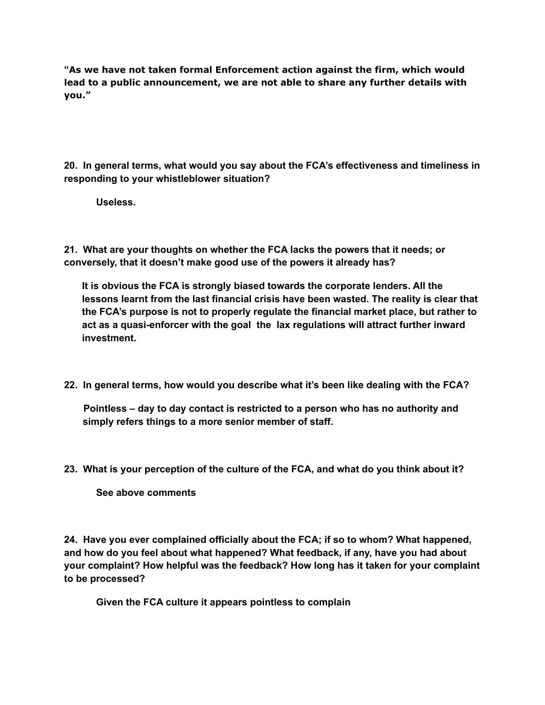**"As we have not taken formal Enforcement action against the firm, which would lead to a public announcement, we are not able to share any further details with you."**

**20. In general terms, what would you say about the FCA's effectiveness and timeliness in responding to your whistleblower situation?**

**Useless.**

**21. What are your thoughts on whether the FCA lacks the powers that it needs; or conversely, that it doesn't make good use of the powers it already has?**

**It is obvious the FCA is strongly biased towards the corporate lenders. All the lessons learnt from the last financial crisis have been wasted. The reality is clear that the FCA's purpose is not to properly regulate the financial market place, but rather to act as a quasi-enforcer with the goal the lax regulations will attract further inward investment.**

**22. In general terms, how would you describe what it's been like dealing with the FCA?**

**Pointless – day to day contact is restricted to a person who has no authority and simply refers things to a more senior member of staff.**

**23. What is your perception of the culture of the FCA, and what do you think about it?**

**See above comments**

**24. Have you ever complained officially about the FCA; if so to whom? What happened, and how do you feel about what happened? What feedback, if any, have you had about your complaint? How helpful was the feedback? How long has it taken for your complaint to be processed?**

**Given the FCA culture it appears pointless to complain**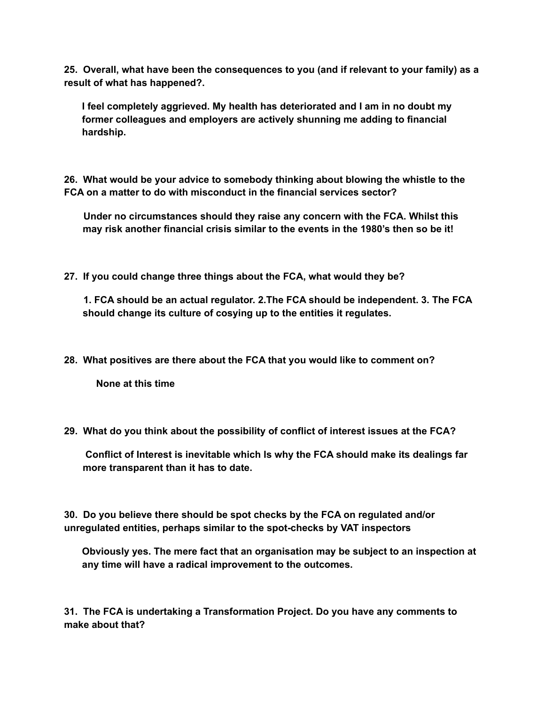**25. Overall, what have been the consequences to you (and if relevant to your family) as a result of what has happened?.**

**I feel completely aggrieved. My health has deteriorated and I am in no doubt my former colleagues and employers are actively shunning me adding to financial hardship.**

**26. What would be your advice to somebody thinking about blowing the whistle to the FCA on a matter to do with misconduct in the financial services sector?**

**Under no circumstances should they raise any concern with the FCA. Whilst this may risk another financial crisis similar to the events in the 1980's then so be it!**

**27. If you could change three things about the FCA, what would they be?**

**1. FCA should be an actual regulator. 2.The FCA should be independent. 3. The FCA should change its culture of cosying up to the entities it regulates.**

**28. What positives are there about the FCA that you would like to comment on?**

**None at this time**

**29. What do you think about the possibility of conflict of interest issues at the FCA?**

**Conflict of Interest is inevitable which Is why the FCA should make its dealings far more transparent than it has to date.**

**30. Do you believe there should be spot checks by the FCA on regulated and/or unregulated entities, perhaps similar to the spot-checks by VAT inspectors**

**Obviously yes. The mere fact that an organisation may be subject to an inspection at any time will have a radical improvement to the outcomes.**

**31. The FCA is undertaking a Transformation Project. Do you have any comments to make about that?**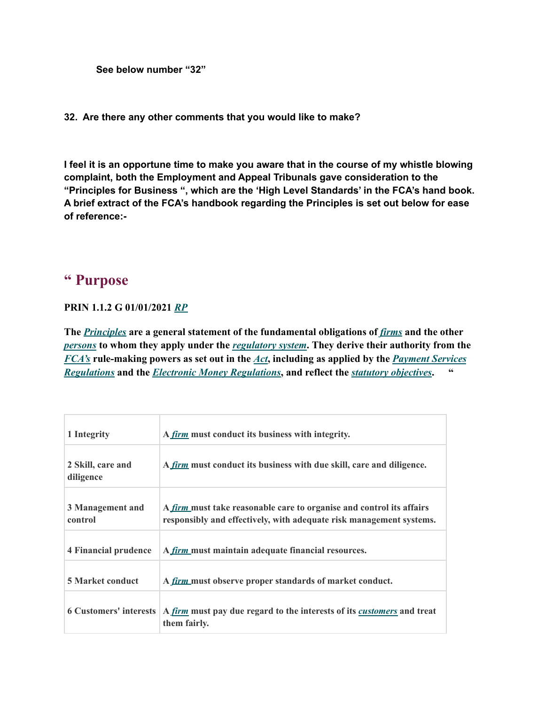```
See below number "32"
```
**32. Are there any other comments that you would like to make?**

**I feel it is an opportune time to make you aware that in the course of my whistle blowing complaint, both the Employment and Appeal Tribunals gave consideration to the "Principles for Business ", which are the 'High Level Standards' in the FCA's hand book. A brief extract of the FCA's handbook regarding the Principles is set out below for ease of reference:-**

### **" Purpose**

#### **PRIN 1.1.2 G 01/01/2021** *[RP](https://www.handbook.fca.org.uk/handbook?related-provisions-for-provision=PRIN%201.1.2)*

**The** *[Principles](https://www.handbook.fca.org.uk/handbook/glossary/G910.html)* **are a general statement of the fundamental obligations of** *[firms](https://www.handbook.fca.org.uk/handbook/glossary/G430.html)* **and the other** *[persons](https://www.handbook.fca.org.uk/handbook/glossary/G869.html)* **to whom they apply under the** *[regulatory](https://www.handbook.fca.org.uk/handbook/glossary/G986.html) system***. They derive their authority from the** *[FCA's](https://www.handbook.fca.org.uk/handbook/glossary/G2974.html)* **rule-making powers as set out in the** *[Act](https://www.handbook.fca.org.uk/handbook/glossary/G10.html)***, including as applied by the** *[Payment](https://www.handbook.fca.org.uk/handbook/glossary/G2621.html) Services [Regulations](https://www.handbook.fca.org.uk/handbook/glossary/G2621.html)* **and the** *Electronic Money [Regulations](https://www.handbook.fca.org.uk/handbook/glossary/G2842.html)***, and reflect the** *statutory [objectives](https://www.handbook.fca.org.uk/handbook/glossary/G2976.html)***. "**

| 1 Integrity                    | A <i>firm</i> must conduct its business with integrity.                                                                                            |
|--------------------------------|----------------------------------------------------------------------------------------------------------------------------------------------------|
| 2 Skill, care and<br>diligence | A firm must conduct its business with due skill, care and diligence.                                                                               |
| 3 Management and<br>control    | A <i>firm</i> must take reasonable care to organise and control its affairs<br>responsibly and effectively, with adequate risk management systems. |
| <b>4 Financial prudence</b>    | A <i>firm</i> must maintain adequate financial resources.                                                                                          |
| <b>5 Market conduct</b>        | A <i>firm</i> must observe proper standards of market conduct.                                                                                     |
|                                | 6 Customers' interests   A <i>firm</i> must pay due regard to the interests of its <i>customers</i> and treat<br>them fairly.                      |